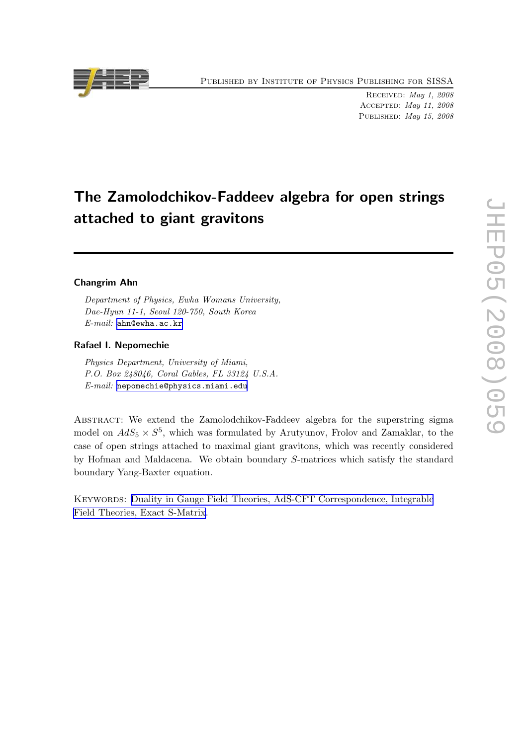Published by Institute of Physics Publishing for SISSA

Received: May 1, 2008 Accepted: May 11, 2008 PUBLISHED: May 15, 2008

# The Zamolodchikov-Faddeev algebra for open strings attached to giant gravitons

# Changrim Ahn

Department of Physics, Ewha Womans University, Dae-Hyun 11-1, Seoul 120-750, South Korea E-mail: [ahn@ewha.ac.kr](mailto:ahn@ewha.ac.kr)

## Rafael I. Nepomechie

Physics Department, University of Miami, P.O. Box 248046, Coral Gables, FL 33124 U.S.A. E-mail: [nepomechie@physics.miami.edu](mailto:nepomechie@physics.miami.edu)

Abstract: We extend the Zamolodchikov-Faddeev algebra for the superstring sigma model on  $AdS_5 \times S^5$ , which was formulated by Arutyunov, Frolov and Zamaklar, to the case of open strings attached to maximal giant gravitons, which was recently considered by Hofman and Maldacena. We obtain boundary S-matrices which satisfy the standard boundary Yang-Baxter equation.

Keywords: [Duality in Gauge Field Theories, AdS-CFT Correspondence, Integrable](http://jhep.sissa.it/stdsearch) [Field Theories, Exact S-Matrix](http://jhep.sissa.it/stdsearch).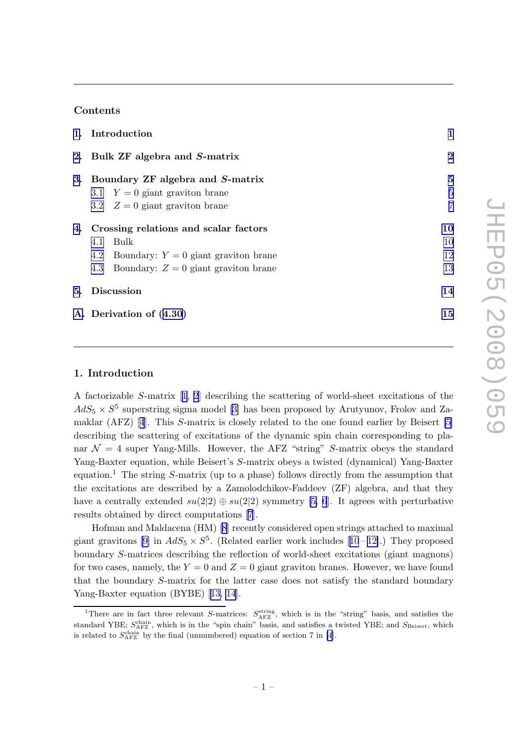# Contents

|  | 1. Introduction                            | 1              |
|--|--------------------------------------------|----------------|
|  | 2. Bulk ZF algebra and S-matrix            | $\overline{2}$ |
|  | 3. Boundary ZF algebra and S-matrix        | $\bf{5}$       |
|  | 3.1 $Y = 0$ giant graviton brane           | $\overline{5}$ |
|  | 3.2 $Z = 0$ giant graviton brane           | $\overline{7}$ |
|  | 4. Crossing relations and scalar factors   | 10             |
|  | Bulk<br>4.1                                | 10             |
|  | 4.2 Boundary: $Y = 0$ giant graviton brane | 12             |
|  | 4.3 Boundary: $Z = 0$ giant graviton brane | 13             |
|  | 5. Discussion                              | 14             |
|  | A. Derivation of $(4.30)$                  | 15             |

# 1. Introduction

A factorizable S-matrix[[1](#page-17-0), [2](#page-17-0)] describing the scattering of world-sheet excitations of the  $AdS_5 \times S^5$  superstring sigma model [\[3\]](#page-18-0) has been proposed by Arutyunov, Frolov and Zamaklar (AFZ)[[4](#page-18-0)]. This S-matrix is closely related to the one found earlier by Beisert [\[5\]](#page-18-0) describing the scattering of excitations of the dynamic spin chain corresponding to planar  $\mathcal{N} = 4$  super Yang-Mills. However, the AFZ "string" S-matrix obeys the standard Yang-Baxter equation, while Beisert's S-matrix obeys a twisted (dynamical) Yang-Baxter equation.<sup>1</sup> The string S-matrix (up to a phase) follows directly from the assumption that the excitations are described by a Zamolodchikov-Faddeev (ZF) algebra, and that they have a centrally extended  $su(2|2) \oplus su(2|2)$  symmetry [\[5, 6](#page-18-0)]. It agrees with perturbative results obtained by direct computations [\[7](#page-18-0)].

Hofman and Maldacena (HM)[[8](#page-18-0)] recently considered open strings attached to maximal giant gravitons [\[9\]](#page-18-0)in  $AdS_5 \times S^5$ . (Related earlier work includes [[10](#page-18-0)-12].) They proposed boundary S-matrices describing the reflection of world-sheet excitations (giant magnons) for two cases, namely, the  $Y = 0$  and  $Z = 0$  giant graviton branes. However, we have found that the boundary S-matrix for the latter case does not satisfy the standard boundary Yang-Baxter equation (BYBE)[[13, 14](#page-18-0)].

<sup>&</sup>lt;sup>1</sup>There are in fact three relevant S-matrices:  $S_{\text{AFZ}}^{\text{string}}$ , which is in the "string" basis, and satisfies the standard YBE;  $S_{\text{AFZ}}^{\text{chain}}$ , which is in the "spin chain" basis, and satisfies a twisted YBE; and  $S_{\text{Beisert}}$ , which is related to  $S_{\text{AFZ}}^{\text{chain}}$  by the final (unnumbered) equation of section 7 in [\[4\]](#page-18-0).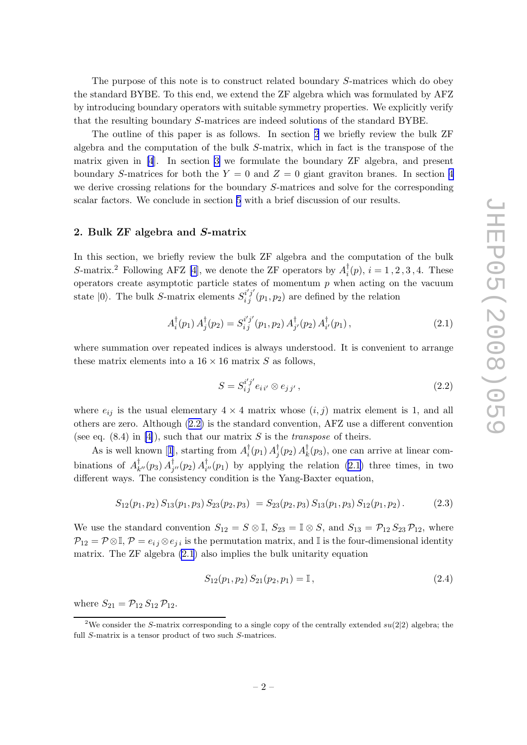<span id="page-2-0"></span>The purpose of this note is to construct related boundary S-matrices which do obey the standard BYBE. To this end, we extend the ZF algebra which was formulated by AFZ by introducing boundary operators with suitable symmetry properties. We explicitly verify that the resulting boundary S-matrices are indeed solutions of the standard BYBE.

The outline of this paper is as follows. In section 2 we briefly review the bulk ZF algebra and the computation of the bulk S-matrix, which in fact is the transpose of the matrix given in[[4](#page-18-0)]. In section [3](#page-5-0) we formulate the boundary ZF algebra, and present boundary S-matrices for both the  $Y = 0$  and  $Z = 0$  giant graviton branes. In section [4](#page-10-0) we derive crossing relations for the boundary S-matrices and solve for the corresponding scalar factors. We conclude in section [5](#page-14-0) with a brief discussion of our results.

#### 2. Bulk ZF algebra and S-matrix

In this section, we briefly review the bulk ZF algebra and the computation of the bulk S-matrix.<sup>2</sup> Following AFZ [\[4\]](#page-18-0), we denote the ZF operators by  $A_i^{\dagger}$  $i<sub>i</sub>(p), i = 1, 2, 3, 4.$  These operators create asymptotic particle states of momentum  $p$  when acting on the vacuum state  $|0\rangle$ . The bulk S-matrix elements  $S_{i j}^{i' j'}(p_1, p_2)$  are defined by the relation

$$
A_i^{\dagger}(p_1) A_j^{\dagger}(p_2) = S_i^{i'j'}(p_1, p_2) A_{j'}^{\dagger}(p_2) A_{i'}^{\dagger}(p_1), \qquad (2.1)
$$

where summation over repeated indices is always understood. It is convenient to arrange these matrix elements into a  $16 \times 16$  matrix S as follows,

$$
S = S_{ij}^{i'j'} e_{i i'} \otimes e_{j j'}, \qquad (2.2)
$$

where  $e_{ij}$  is the usual elementary  $4 \times 4$  matrix whose  $(i, j)$  matrix element is 1, and all others are zero. Although (2.2) is the standard convention, AFZ use a different convention (see eq.  $(8.4)$  in [\[4\]](#page-18-0)), such that our matrix S is the *transpose* of theirs.

Asis well known [[1](#page-17-0)], starting from  $A_i^{\dagger}$  $i^{\dagger}(p_1) A_j^{\dagger}$  $^{\dagger}_j(p_2) \, A^{\dagger}_k$  $\bar{k}(p_3)$ , one can arrive at linear combinations of  $A_k^{\dagger}$  $_{k^{\prime\prime}}^{\dagger}(p_{3})\,A_{j}^{\dagger}% (p_{4})\,A_{j}^{\dagger}(p_{5})\,A_{j}^{\dagger}(p_{6})\,A_{j}^{\dagger}(p_{7})$  $_{j^{\prime\prime}}^{\dagger}(p_2)\, A_i^{\dagger}$  $_{i''}^{(p_1)}$  by applying the relation (2.1) three times, in two different ways. The consistency condition is the Yang-Baxter equation,

$$
S_{12}(p_1, p_2) S_{13}(p_1, p_3) S_{23}(p_2, p_3) = S_{23}(p_2, p_3) S_{13}(p_1, p_3) S_{12}(p_1, p_2).
$$
 (2.3)

We use the standard convention  $S_{12} = S \otimes \mathbb{I}$ ,  $S_{23} = \mathbb{I} \otimes S$ , and  $S_{13} = \mathcal{P}_{12} S_{23} \mathcal{P}_{12}$ , where  $\mathcal{P}_{12} = \mathcal{P} \otimes \mathbb{I}, \mathcal{P} = e_{ij} \otimes e_{ji}$  is the permutation matrix, and  $\mathbb{I}$  is the four-dimensional identity matrix. The ZF algebra (2.1) also implies the bulk unitarity equation

$$
S_{12}(p_1, p_2) S_{21}(p_2, p_1) = \mathbb{I}, \qquad (2.4)
$$

where  $S_{21} = \mathcal{P}_{12} S_{12} \mathcal{P}_{12}$ .

<sup>&</sup>lt;sup>2</sup>We consider the S-matrix corresponding to a single copy of the centrally extended  $su(2|2)$  algebra; the full S-matrix is a tensor product of two such S-matrices.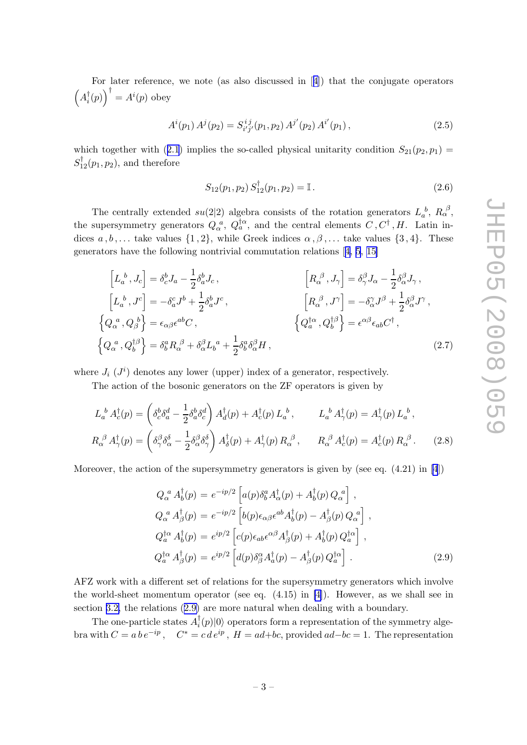<span id="page-3-0"></span>For later reference, we note (as also discussed in[[4\]](#page-18-0)) that the conjugate operators  $\left(A_i^{\dagger}\right)$  $\big( \frac{1}{i}(p) \big) \big)^\dagger = A^i(p)$  obey

$$
A^{i}(p_1) A^{j}(p_2) = S^{i j}_{i' j'}(p_1, p_2) A^{j'}(p_2) A^{i'}(p_1), \qquad (2.5)
$$

whichtogether with ([2.1](#page-2-0)) implies the so-called physical unitarity condition  $S_{21}(p_2, p_1)$  $S_{12}^{\dagger}(p_1, p_2)$ , and therefore

$$
S_{12}(p_1, p_2) S_{12}^{\dagger}(p_1, p_2) = \mathbb{I}.
$$
 (2.6)

The centrally extended  $su(2|2)$  algebra consists of the rotation generators  $L_a^b$ ,  $R_\alpha^{\beta}$ , the supersymmetry generators  $Q_{\alpha}^{a}$ ,  $Q_{a}^{\dagger \alpha}$ , and the central elements  $C, C^{\dagger}, H$ . Latin indices  $a, b, \ldots$  take values  $\{1, 2\}$ , while Greek indices  $\alpha, \beta, \ldots$  take values  $\{3, 4\}$ . These generators have the following nontrivial commutation relations[[4](#page-18-0), [5](#page-18-0), [15\]](#page-18-0)

$$
\begin{aligned}\n\left[L_a^b, J_c\right] &= \delta_c^b J_a - \frac{1}{2} \delta_a^b J_c, & \left[R_{\alpha}^{\ \beta}, J_{\gamma}\right] &= \delta_{\gamma}^{\beta} J_{\alpha} - \frac{1}{2} \delta_{\alpha}^{\beta} J_{\gamma}, \\
\left[L_a^b, J^c\right] &= -\delta_a^c J^b + \frac{1}{2} \delta_a^b J^c, & \left[R_{\alpha}^{\ \beta}, J^{\gamma}\right] &= -\delta_{\alpha}^{\gamma} J^{\beta} + \frac{1}{2} \delta_{\alpha}^{\beta} J^{\gamma}, \\
\left\{Q_{\alpha}^{\ a}, Q_{\beta}^{\ b}\right\} &= \epsilon_{\alpha\beta} \epsilon^{ab} C, & \left\{Q_a^{\dagger\alpha}, Q_b^{\dagger\beta}\right\} &= \epsilon^{\alpha\beta} \epsilon_{ab} C^{\dagger}, \\
\left\{Q_{\alpha}^{\ a}, Q_b^{\dagger\beta}\right\} &= \delta_b^a R_{\alpha}^{\ \beta} + \delta_{\alpha}^{\beta} L_b^a + \frac{1}{2} \delta_b^a \delta_{\alpha}^{\beta} H,\n\end{aligned}
$$
\n(2.7)

where  $J_i$  ( $J^i$ ) denotes any lower (upper) index of a generator, respectively.

The action of the bosonic generators on the ZF operators is given by

$$
L_a^b A_c^\dagger(p) = \left(\delta_c^b \delta_a^d - \frac{1}{2} \delta_a^b \delta_c^d\right) A_d^\dagger(p) + A_c^\dagger(p) L_a^b, \qquad L_a^b A_\gamma^\dagger(p) = A_\gamma^\dagger(p) L_a^b,
$$
  

$$
R_\alpha^{\ \beta} A_\gamma^\dagger(p) = \left(\delta_\gamma^\beta \delta_\alpha^\delta - \frac{1}{2} \delta_\alpha^\beta \delta_\gamma^\delta\right) A_\delta^\dagger(p) + A_\gamma^\dagger(p) R_\alpha^{\ \beta}, \qquad R_\alpha^{\ \beta} A_c^\dagger(p) = A_c^\dagger(p) R_\alpha^{\ \beta}.
$$
 (2.8)

Moreover, the action of the supersymmetry generators is given by (see eq.  $(4.21)$  in [\[4](#page-18-0)])

$$
Q_{\alpha}^{a} A_{b}^{\dagger}(p) = e^{-ip/2} \left[ a(p) \delta_{b}^{a} A_{\alpha}^{\dagger}(p) + A_{b}^{\dagger}(p) Q_{\alpha}^{a} \right],
$$
  
\n
$$
Q_{\alpha}^{a} A_{\beta}^{\dagger}(p) = e^{-ip/2} \left[ b(p) \epsilon_{\alpha\beta} \epsilon^{ab} A_{b}^{\dagger}(p) - A_{\beta}^{\dagger}(p) Q_{\alpha}^{a} \right],
$$
  
\n
$$
Q_{a}^{\dagger\alpha} A_{b}^{\dagger}(p) = e^{ip/2} \left[ c(p) \epsilon_{ab} \epsilon^{\alpha\beta} A_{\beta}^{\dagger}(p) + A_{b}^{\dagger}(p) Q_{\alpha}^{\dagger\alpha} \right],
$$
  
\n
$$
Q_{a}^{\dagger\alpha} A_{\beta}^{\dagger}(p) = e^{ip/2} \left[ d(p) \delta_{\beta}^{\alpha} A_{a}^{\dagger}(p) - A_{\beta}^{\dagger}(p) Q_{a}^{\dagger\alpha} \right].
$$
\n(2.9)

AFZ work with a different set of relations for the supersymmetry generators which involve the world-sheet momentum operator (see eq. (4.15) in [\[4\]](#page-18-0)). However, as we shall see in section [3.2,](#page-7-0) the relations (2.9) are more natural when dealing with a boundary.

The one-particle states  $A_i^{\dagger}$  $\binom{1}{i}(p)|0\rangle$  operators form a representation of the symmetry algebra with  $C = a b e^{-ip}$ ,  $C^* = c d e^{ip}$ ,  $H = a d + bc$ , provided  $ad - bc = 1$ . The representation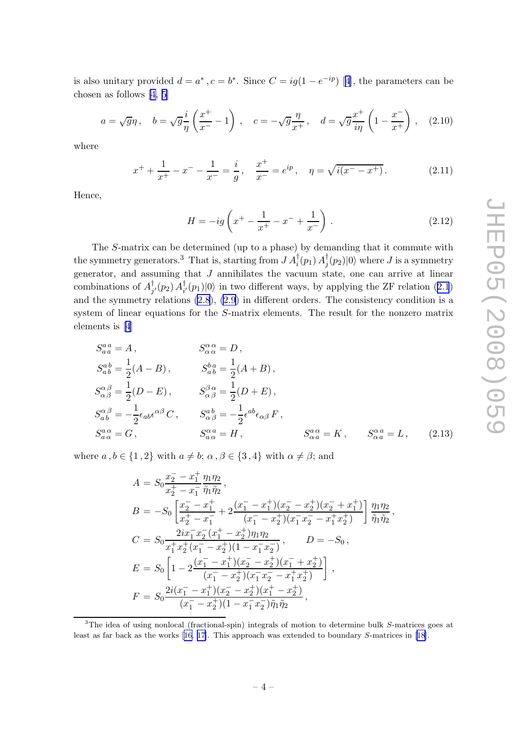<span id="page-4-0"></span>isalso unitary provided  $d = a^*$ ,  $c = b^*$ . Since  $C = ig(1 - e^{-ip})$  [[4](#page-18-0)], the parameters can be chosen as follows [\[4, 5](#page-18-0)]

$$
a = \sqrt{g}\eta \,, \quad b = \sqrt{g}\frac{i}{\eta}\left(\frac{x^+}{x^-} - 1\right) \,, \quad c = -\sqrt{g}\frac{\eta}{x^+} \,, \quad d = \sqrt{g}\frac{x^+}{i\eta}\left(1 - \frac{x^-}{x^+}\right) \,, \quad (2.10)
$$

where

$$
x^{+} + \frac{1}{x^{+}} - x^{-} - \frac{1}{x^{-}} = \frac{i}{g}, \quad \frac{x^{+}}{x^{-}} = e^{ip}, \quad \eta = \sqrt{i(x^{-} - x^{+})}. \tag{2.11}
$$

Hence,

$$
H = -ig\left(x^{+} - \frac{1}{x^{+}} - x^{-} + \frac{1}{x^{-}}\right). \tag{2.12}
$$

The S-matrix can be determined (up to a phase) by demanding that it commute with the symmetry generators.<sup>3</sup> That is, starting from  $J A_i^{\dagger}(p_1) A_j^{\dagger}$  $\langle j(p_2)|0\rangle$  where  $J$  is a symmetry generator, and assuming that J annihilates the vacuum state, one can arrive at linear combinations of  $A_i^{\dagger}$  $_{j^{\prime }}^{\dagger }(p_{2})\,A_{i}^{\dagger }$  $\langle p_1 | 0 \rangle$  $\langle p_1 | 0 \rangle$  $\langle p_1 | 0 \rangle$  in two different ways, by applying the ZF relation ([2.1](#page-2-0)) and the symmetry relations [\(2.8](#page-3-0)), [\(2.9](#page-3-0)) in different orders. The consistency condition is a system of linear equations for the S-matrix elements. The result for the nonzero matrix elements is[[4](#page-18-0)]

$$
S_{aa}^{aa} = A, \t S_{\alpha\alpha}^{a\alpha} = D,
$$
  
\n
$$
S_{ab}^{ab} = \frac{1}{2}(A - B), \t S_{ab}^{ba} = \frac{1}{2}(A + B),
$$
  
\n
$$
S_{\alpha\beta}^{\alpha\beta} = \frac{1}{2}(D - E), \t S_{\alpha\beta}^{\beta\alpha} = \frac{1}{2}(D + E),
$$
  
\n
$$
S_{ab}^{\alpha\beta} = -\frac{1}{2}\epsilon_{ab}\epsilon^{\alpha\beta}C, \t S_{\alpha\beta}^{ab} = -\frac{1}{2}\epsilon^{ab}\epsilon_{\alpha\beta}F,
$$
  
\n
$$
S_{a\alpha}^{a\alpha} = G, \t S_{a\alpha}^{a\alpha} = H, \t S_{\alpha a}^{a\alpha} = K, \t S_{\alpha a}^{\alpha a} = L, \t (2.13)
$$

where  $a, b \in \{1, 2\}$  with  $a \neq b$ ;  $\alpha, \beta \in \{3, 4\}$  with  $\alpha \neq \beta$ ; and

$$
A = S_0 \frac{x_2^- - x_1^+}{x_2^+ - x_1^-} \frac{\eta_1 \eta_2}{\tilde{\eta}_1 \tilde{\eta}_2},
$$
  
\n
$$
B = -S_0 \left[ \frac{x_2^- - x_1^+}{x_2^+ - x_1^-} + 2 \frac{(x_1^- - x_1^+)(x_2^- - x_2^+)(x_2^- + x_1^+)}{(x_1^- - x_2^+)(x_1^- x_2^- - x_1^+ x_2^+)} \right] \frac{\eta_1 \eta_2}{\tilde{\eta}_1 \tilde{\eta}_2},
$$
  
\n
$$
C = S_0 \frac{2ix_1^- x_2^- (x_1^+ - x_2^+)\eta_1 \eta_2}{x_1^+ x_2^+ (x_1^- - x_2^+)(1 - x_1^- x_2^-)}, \qquad D = -S_0,
$$
  
\n
$$
E = S_0 \left[ 1 - 2 \frac{(x_1^- - x_1^+)(x_2^- - x_2^+)(x_1^- + x_2^+)}{(x_1^- - x_2^+)(x_1^- x_2^- - x_1^+ x_2^+)} \right],
$$
  
\n
$$
F = S_0 \frac{2i(x_1^- - x_1^+)(x_2^- - x_2^+)(x_1^+ - x_2^+)}{(x_1^- - x_2^+)(1 - x_1^- x_2^-)\tilde{\eta}_1 \tilde{\eta}_2},
$$

<sup>&</sup>lt;sup>3</sup>The idea of using nonlocal (fractional-spin) integrals of motion to determine bulk S-matrices goes at least as far back as the works[[16, 17\]](#page-18-0). This approach was extended to boundary S-matrices in[[18\]](#page-19-0).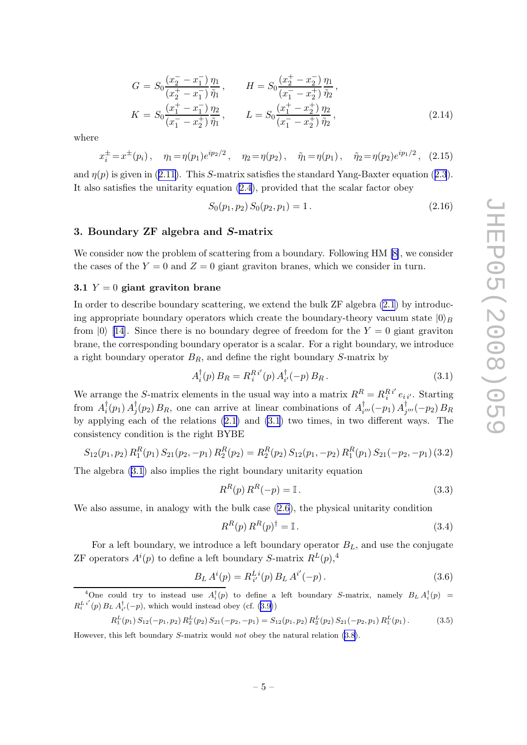<span id="page-5-0"></span>
$$
G = S_0 \frac{(x_2^- - x_1^-)}{(x_2^+ - x_1^-)} \frac{\eta_1}{\tilde{\eta}_1}, \qquad H = S_0 \frac{(x_2^+ - x_2^-)}{(x_1^- - x_2^+)} \frac{\eta_1}{\tilde{\eta}_2},
$$
  
\n
$$
K = S_0 \frac{(x_1^+ - x_1^-)}{(x_1^- - x_2^+)} \frac{\eta_2}{\tilde{\eta}_1}, \qquad L = S_0 \frac{(x_1^+ - x_2^+)}{(x_1^- - x_2^+)} \frac{\eta_2}{\tilde{\eta}_2},
$$
\n(2.14)

where

$$
x_i^{\pm} = x^{\pm}(p_i), \quad \eta_1 = \eta(p_1)e^{ip_2/2}, \quad \eta_2 = \eta(p_2), \quad \tilde{\eta}_1 = \eta(p_1), \quad \tilde{\eta}_2 = \eta(p_2)e^{ip_1/2}, \quad (2.15)
$$

and $\eta(p)$  is given in ([2.11](#page-4-0)). This S-matrix satisfies the standard Yang-Baxter equation ([2.3](#page-2-0)). It also satisfies the unitarity equation [\(2.4](#page-2-0)), provided that the scalar factor obey

$$
S_0(p_1, p_2) S_0(p_2, p_1) = 1.
$$
\n(2.16)

### 3. Boundary ZF algebra and S-matrix

We consider now the problem of scattering from a boundary. Following HM [\[8\]](#page-18-0), we consider the cases of the  $Y = 0$  and  $Z = 0$  giant graviton branes, which we consider in turn.

#### 3.1  $Y = 0$  giant graviton brane

In order to describe boundary scattering, we extend the bulk ZF algebra [\(2.1](#page-2-0)) by introducing appropriate boundary operators which create the boundary-theory vacuum state  $|0\rangle_B$ from  $|0\rangle$  [\[14](#page-18-0)]. Since there is no boundary degree of freedom for the  $Y = 0$  giant graviton brane, the corresponding boundary operator is a scalar. For a right boundary, we introduce a right boundary operator  $B_R$ , and define the right boundary S-matrix by

$$
A_i^{\dagger}(p) B_R = R_i^{Ri'}(p) A_{i'}^{\dagger}(-p) B_R.
$$
 (3.1)

We arrange the S-matrix elements in the usual way into a matrix  $R^R = R_i^{R_i'} e_{i i'}$ . Starting from  $A_i^{\dagger}$  $_{i}^{\dagger}(p_{1})$   $A_{j}^{\dagger}$  $j^{\dagger}(p_2) B_R$ , one can arrive at linear combinations of  $A_i^{\dagger}$  $_{i^{\prime\prime\prime}}^{\dagger}(-p_1) \, A_j^{\dagger}$  $_{j^{\prime\prime\prime}}^{\perp}(-p_2)\,B_R$ by applying each of the relations [\(2.1](#page-2-0)) and (3.1) two times, in two different ways. The consistency condition is the right BYBE

$$
S_{12}(p_1, p_2) R_1^R(p_1) S_{21}(p_2, -p_1) R_2^R(p_2) = R_2^R(p_2) S_{12}(p_1, -p_2) R_1^R(p_1) S_{21}(-p_2, -p_1) (3.2)
$$

The algebra (3.1) also implies the right boundary unitarity equation

$$
R^{R}(p) R^{R}(-p) = \mathbb{I}.
$$
\n(3.3)

We also assume, in analogy with the bulk case [\(2.6](#page-3-0)), the physical unitarity condition

$$
R^R(p) R^R(p)^\dagger = \mathbb{I} \,. \tag{3.4}
$$

For a left boundary, we introduce a left boundary operator  $B_L$ , and use the conjugate ZF operators  $A^{i}(p)$  to define a left boundary S-matrix  $R^{L}(p)$ ,<sup>4</sup>

$$
B_L A^i(p) = R_{i'}^{Li}(p) B_L A^{i'}(-p).
$$
\n(3.6)

$$
R_1^L(p_1) S_{12}(-p_1, p_2) R_2^L(p_2) S_{21}(-p_2, -p_1) = S_{12}(p_1, p_2) R_2^L(p_2) S_{21}(-p_2, p_1) R_1^L(p_1).
$$
 (3.5)

However, this left boundary S-matrix would not obey the natural relation [\(3.8\)](#page-6-0).

<sup>&</sup>lt;sup>4</sup>One could try to instead use  $A_i^{\dagger}(p)$  to define a left boundary S-matrix, namely  $B_L A_i^{\dagger}(p)$  =  $R_i^L$ <sup>i'</sup>(p)  $B_L A_{i'}^{\dagger}(-p)$ , which would instead obey (cf. [\(3.9\)](#page-6-0))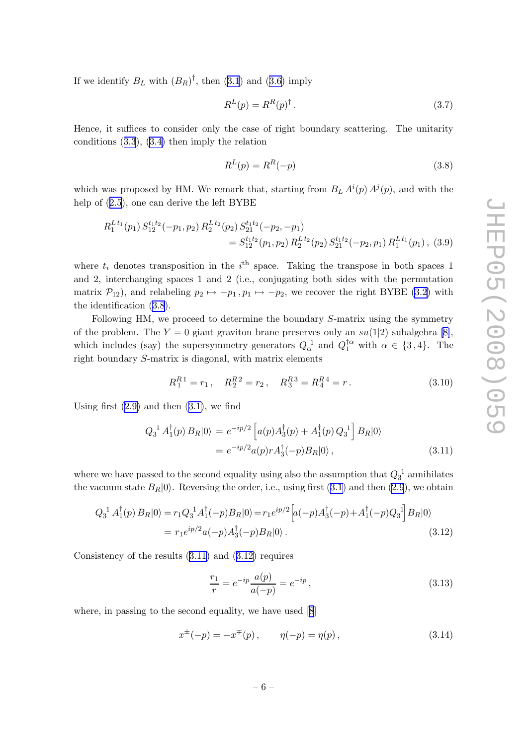<span id="page-6-0"></span>Ifwe identify  $B_L$  with  $(B_R)^{\dagger}$ , then ([3.1](#page-5-0)) and [\(3.6\)](#page-5-0) imply

$$
R^{L}(p) = R^{R}(p)^{\dagger}.
$$
\n
$$
(3.7)
$$

Hence, it suffices to consider only the case of right boundary scattering. The unitarity conditions([3.3](#page-5-0)),([3.4\)](#page-5-0) then imply the relation

$$
R^L(p) = R^R(-p) \tag{3.8}
$$

which was proposed by HM. We remark that, starting from  $B_L A^i(p) A^j(p)$ , and with the help of([2.5](#page-3-0)), one can derive the left BYBE

$$
R_1^{Lt_1}(p_1) S_{12}^{t_1t_2}(-p_1, p_2) R_2^{Lt_2}(p_2) S_{21}^{t_1t_2}(-p_2, -p_1)
$$
  
=  $S_{12}^{t_1t_2}(p_1, p_2) R_2^{Lt_2}(p_2) S_{21}^{t_1t_2}(-p_2, p_1) R_1^{Lt_1}(p_1)$ , (3.9)

where  $t_i$  denotes transposition in the  $i^{\text{th}}$  space. Taking the transpose in both spaces 1 and 2, interchanging spaces 1 and 2 (i.e., conjugating both sides with the permutation matrix  $\mathcal{P}_{12}$ , and relabeling  $p_2 \mapsto -p_1, p_1 \mapsto -p_2$ , we recover the right BYBE [\(3.2](#page-5-0)) with the identification (3.8).

Following HM, we proceed to determine the boundary S-matrix using the symmetry of the problem. The  $Y = 0$  giant graviton brane preserves only an  $su(1|2)$  subalgebra [\[8\]](#page-18-0), which includes (say) the supersymmetry generators  $Q_{\alpha}^{\ 1}$  and  $Q_{1}^{\dagger\alpha}$  with  $\alpha \in \{3, 4\}$ . The right boundary S-matrix is diagonal, with matrix elements

$$
R_1^{R1} = r_1 \,, \quad R_2^{R2} = r_2 \,, \quad R_3^{R3} = R_4^{R4} = r \,. \tag{3.10}
$$

Usingfirst  $(2.9)$  $(2.9)$  and then  $(3.1)$  $(3.1)$ , we find

$$
Q_3^{\ 1} A_1^{\dagger}(p) B_R |0\rangle = e^{-ip/2} \left[ a(p) A_3^{\dagger}(p) + A_1^{\dagger}(p) Q_3^{\ 1} \right] B_R |0\rangle
$$
  
= 
$$
e^{-ip/2} a(p) r A_3^{\dagger}(-p) B_R |0\rangle ,
$$
 (3.11)

where we have passed to the second equality using also the assumption that  $Q_3^{\{1\}}$  annihilates the vacuum state  $B_R|0\rangle$ . Reversing the order, i.e., using first [\(3.1\)](#page-5-0) and then [\(2.9](#page-3-0)), we obtain

$$
Q_3^{1} A_1^{\dagger}(p) B_R |0\rangle = r_1 Q_3^{1} A_1^{\dagger}(-p) B_R |0\rangle = r_1 e^{ip/2} \left[ a(-p) A_3^{\dagger}(-p) + A_1^{\dagger}(-p) Q_3^{1} \right] B_R |0\rangle
$$
  
=  $r_1 e^{ip/2} a(-p) A_3^{\dagger}(-p) B_R |0\rangle$ . (3.12)

Consistency of the results (3.11) and (3.12) requires

$$
\frac{r_1}{r} = e^{-ip} \frac{a(p)}{a(-p)} = e^{-ip},\tag{3.13}
$$

where, in passing to the second equality, we have used [\[8](#page-18-0)]

$$
x^{\pm}(-p) = -x^{\mp}(p), \qquad \eta(-p) = \eta(p), \qquad (3.14)
$$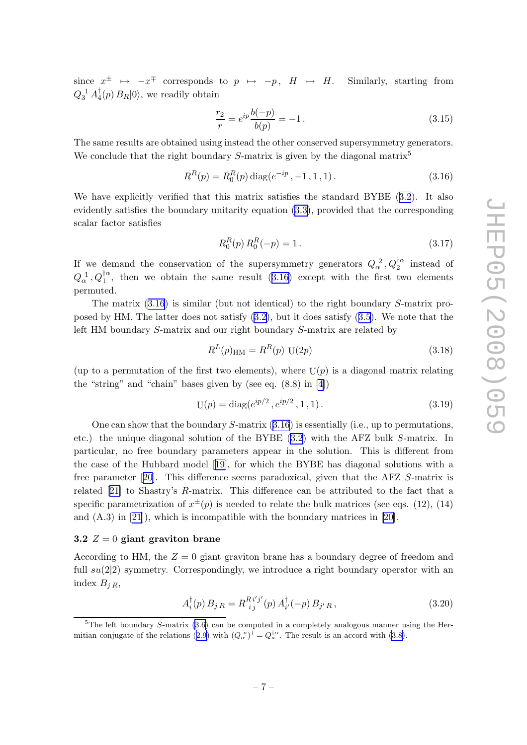<span id="page-7-0"></span>since  $x^{\pm} \mapsto -x^{\mp}$  corresponds to  $p \mapsto -p$ ,  $H \mapsto H$ . Similarly, starting from  $Q_3^{-1} \, A_4^\dagger$  $_4^{\dagger}(p) B_R |0\rangle$ , we readily obtain

$$
\frac{r_2}{r} = e^{ip} \frac{b(-p)}{b(p)} = -1.
$$
\n(3.15)

The same results are obtained using instead the other conserved supersymmetry generators. We conclude that the right boundary  $S$ -matrix is given by the diagonal matrix<sup>5</sup>

$$
R^{R}(p) = R_{0}^{R}(p) \operatorname{diag}(e^{-ip}, -1, 1, 1). \qquad (3.16)
$$

We have explicitly verified that this matrix satisfies the standard BYBE([3.2](#page-5-0)). It also evidently satisfies the boundary unitarity equation [\(3.3\)](#page-5-0), provided that the corresponding scalar factor satisfies

$$
R_0^R(p) R_0^R(-p) = 1.
$$
\n(3.17)

If we demand the conservation of the supersymmetry generators  $Q_{\alpha}^2$ ,  $Q_2^{\dagger \alpha}$  instead of  $Q_{\alpha}^{\{1\}}$ ,  $Q_1^{\dagger \alpha}$ , then we obtain the same result (3.16) except with the first two elements permuted.

The matrix  $(3.16)$  is similar (but not identical) to the right boundary S-matrix proposed by HM. The latter does not satisfy([3.2\)](#page-5-0), but it does satisfy([3.5](#page-5-0)). We note that the left HM boundary S-matrix and our right boundary S-matrix are related by

$$
R^{L}(p)_{\text{HM}} = R^{R}(p) \text{ U}(2p) \tag{3.18}
$$

(up to a permutation of the first two elements), where  $U(p)$  is a diagonal matrix relating the "string" and "chain" bases given by (see eq. (8.8) in [\[4\]](#page-18-0))

$$
U(p) = diag(e^{ip/2}, e^{ip/2}, 1, 1).
$$
 (3.19)

One can show that the boundary  $S$ -matrix  $(3.16)$  is essentially (i.e., up to permutations, etc.) the unique diagonal solution of the BYBE [\(3.2\)](#page-5-0) with the AFZ bulk S-matrix. In particular, no free boundary parameters appear in the solution. This is different from the case of the Hubbard model[[19\]](#page-19-0), for which the BYBE has diagonal solutions with a free parameter[[20](#page-19-0)]. This difference seems paradoxical, given that the AFZ S-matrix is related[[21\]](#page-19-0) to Shastry's R-matrix. This difference can be attributed to the fact that a specific parametrization of  $x^{\pm}(p)$  is needed to relate the bulk matrices (see eqs. (12), (14) and (A.3) in [\[21\]](#page-19-0)), which is incompatible with the boundary matrices in [\[20](#page-19-0)].

#### 3.2  $Z = 0$  giant graviton brane

According to HM, the  $Z = 0$  giant graviton brane has a boundary degree of freedom and full  $su(2|2)$  symmetry. Correspondingly, we introduce a right boundary operator with an index  $B_{iR}$ ,

$$
A_i^{\dagger}(p) B_j{}_{R} = R_{ij}^{Ri'j'}(p) A_{i'}^{\dagger}(-p) B_{j'R}, \qquad (3.20)
$$

 $5$ The left boundary S-matrix [\(3.6\)](#page-5-0) can be computed in a completely analogous manner using the Her-mitian conjugate of the relations ([2.9](#page-3-0)) with  $(Q_\alpha^{\ a})^\dagger = Q_a^{\dagger \alpha}$ . The result is an accord with [\(3.8](#page-6-0)).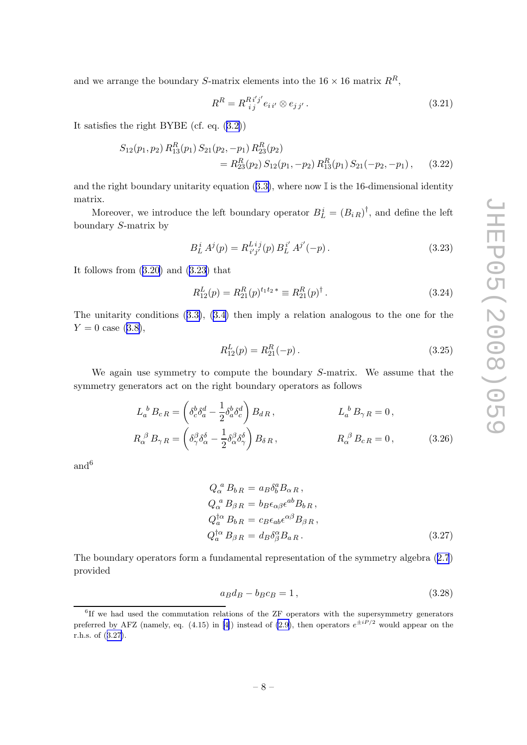<span id="page-8-0"></span>and we arrange the boundary S-matrix elements into the  $16 \times 16$  matrix  $R^R$ ,

$$
R^{R} = R^{R i' j'}_{i j} e_{i i'} \otimes e_{j j'}.
$$
\n(3.21)

It satisfies the right BYBE (cf. eq.([3.2\)](#page-5-0))

$$
S_{12}(p_1, p_2) R_{13}^R(p_1) S_{21}(p_2, -p_1) R_{23}^R(p_2)
$$
  
=  $R_{23}^R(p_2) S_{12}(p_1, -p_2) R_{13}^R(p_1) S_{21}(-p_2, -p_1)$ , (3.22)

andthe right boundary unitarity equation ([3.3\)](#page-5-0), where now  $\mathbb{I}$  is the 16-dimensional identity matrix.

Moreover, we introduce the left boundary operator  $B_L^i = (B_i_R)^{\dagger}$ , and define the left boundary S-matrix by

$$
B_L^i A^j(p) = R_{i'j'}^{Lij}(p) B_L^{i'} A^{j'}(-p).
$$
\n(3.23)

It follows from([3.20](#page-7-0)) and (3.23) that

$$
R_{12}^L(p) = R_{21}^R(p)^{t_1 t_2 *} \equiv R_{21}^R(p)^\dagger.
$$
\n(3.24)

The unitarity conditions([3.3\)](#page-5-0),([3.4\)](#page-5-0) then imply a relation analogous to the one for the  $Y = 0$  case [\(3.8\)](#page-6-0),

$$
R_{12}^L(p) = R_{21}^R(-p). \tag{3.25}
$$

We again use symmetry to compute the boundary S-matrix. We assume that the symmetry generators act on the right boundary operators as follows

$$
L_a^b B_{cR} = \left(\delta_c^b \delta_a^d - \frac{1}{2} \delta_a^b \delta_c^d\right) B_{dR}, \qquad L_a^b B_{\gamma R} = 0,
$$
  

$$
R_\alpha^\beta B_{\gamma R} = \left(\delta_\gamma^\beta \delta_\alpha^\delta - \frac{1}{2} \delta_\alpha^\beta \delta_\gamma^\delta\right) B_{\delta R}, \qquad R_\alpha^\beta B_{cR} = 0,
$$
 (3.26)

and<sup>6</sup>

$$
Q_{\alpha}^{\ a} B_{bR} = a_B \delta_b^a B_{\alpha R},
$$
  
\n
$$
Q_{\alpha}^{\ a} B_{\beta R} = b_B \epsilon_{\alpha\beta} \epsilon^{ab} B_{bR},
$$
  
\n
$$
Q_{a}^{\dagger \alpha} B_{bR} = c_B \epsilon_{ab} \epsilon^{\alpha \beta} B_{\beta R},
$$
  
\n
$$
Q_{a}^{\dagger \alpha} B_{\beta R} = d_B \delta_{\beta}^{\alpha} B_{aR}.
$$
\n(3.27)

The boundary operators form a fundamental representation of the symmetry algebra([2.7](#page-3-0)) provided

$$
a_B d_B - b_B c_B = 1,
$$
\n
$$
(3.28)
$$

<sup>6</sup> If we had used the commutation relations of the ZF operators with the supersymmetry generators preferred by AFZ (namely, eq. (4.15) in [\[4\]](#page-18-0)) instead of [\(2.9](#page-3-0)), then operators  $e^{\pm iP/2}$  would appear on the r.h.s. of (3.27).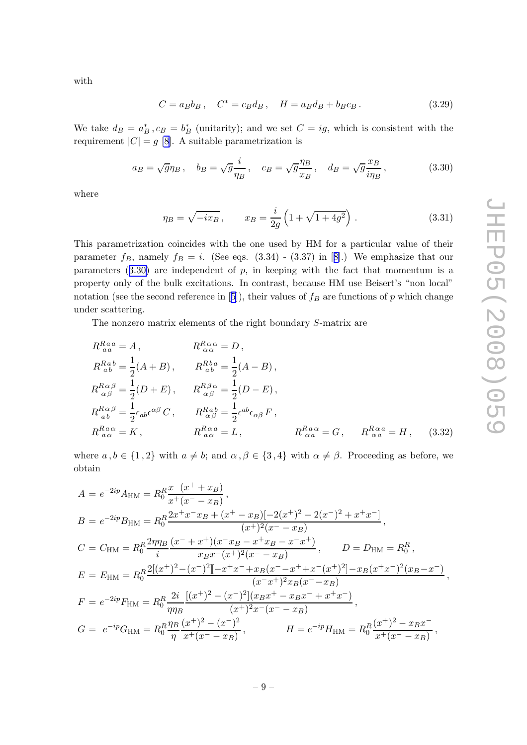<span id="page-9-0"></span>with

$$
C = a_B b_B, \quad C^* = c_B d_B, \quad H = a_B d_B + b_B c_B. \tag{3.29}
$$

We take  $d_B = a_B^*$ ,  $c_B = b_B^*$  (unitarity); and we set  $C = ig$ , which is consistent with the requirement  $|C| = g$  [\[8\]](#page-18-0). A suitable parametrization is

$$
a_B = \sqrt{g}\eta_B
$$
,  $b_B = \sqrt{g}\frac{i}{\eta_B}$ ,  $c_B = \sqrt{g}\frac{\eta_B}{x_B}$ ,  $d_B = \sqrt{g}\frac{x_B}{i\eta_B}$ , (3.30)

where

$$
\eta_B = \sqrt{-ix_B}, \qquad x_B = \frac{i}{2g} \left( 1 + \sqrt{1 + 4g^2} \right). \tag{3.31}
$$

This parametrization coincides with the one used by HM for a particular value of their parameter $f_B$ , namely  $f_B = i$ . (See eqs. (3.34) - (3.37) in [[8\]](#page-18-0).) We emphasize that our parameters  $(3.30)$  are independent of p, in keeping with the fact that momentum is a property only of the bulk excitations. In contrast, because HM use Beisert's "non local" notation(see the second reference in [[5](#page-18-0)]), their values of  $f_B$  are functions of p which change under scattering.

The nonzero matrix elements of the right boundary S-matrix are

$$
R_{aa}^{Raa} = A, \t R_{\alpha\alpha}^{R\alpha\alpha} = D,
$$
  
\n
$$
R_{ab}^{Rab} = \frac{1}{2}(A+B), \t R_{ab}^{Rba} = \frac{1}{2}(A-B),
$$
  
\n
$$
R_{\alpha\beta}^{R\alpha\beta} = \frac{1}{2}(D+E), \t R_{\alpha\beta}^{R\beta\alpha} = \frac{1}{2}(D-E),
$$
  
\n
$$
R_{ab}^{R\alpha\beta} = \frac{1}{2}\epsilon_{ab}\epsilon^{\alpha\beta}C, \t R_{\alpha\beta}^{Rab} = \frac{1}{2}\epsilon^{ab}\epsilon_{\alpha\beta}F,
$$
  
\n
$$
R_{a\alpha}^{Ra\alpha} = K, \t R_{a\alpha}^{R\alpha a} = L, \t R_{\alpha a}^{Ra\alpha} = G, \t R_{\alpha a}^{R\alpha a} = H, \t (3.32)
$$

where  $a, b \in \{1, 2\}$  with  $a \neq b$ ; and  $\alpha, \beta \in \{3, 4\}$  with  $\alpha \neq \beta$ . Proceeding as before, we obtain

$$
A = e^{-2ip} A_{HM} = R_0^R \frac{x^-(x^+ + x_B)}{x^+(x^- - x_B)},
$$
  
\n
$$
B = e^{-2ip} B_{HM} = R_0^R \frac{2x^+ x^- x_B + (x^+ - x_B)[-2(x^+)^2 + 2(x^-)^2 + x^+ x^-]}{(x^+)^2 (x^- - x_B)},
$$
  
\n
$$
C = C_{HM} = R_0^R \frac{2\eta \eta_B}{i} \frac{(x^- + x^+)(x^- x_B - x^+ x_B - x^- x^+)}{x_B x^-(x^+)^2 (x^- - x_B)},
$$
  
\n
$$
D = D_{HM} = R_0^R,
$$
  
\n
$$
E = E_{HM} = R_0^R \frac{2[(x^+)^2 - (x^-)^2] - x^+ x^- + x_B(x^- - x^+ + x^-(x^+)^2] - x_B(x^+ x^-)^2 (x_B - x^-)}{(x^- x^+)^2 x_B (x^- - x_B)},
$$
  
\n
$$
F = e^{-2ip} F_{HM} = R_0^R \frac{2i}{\eta \eta_B} \frac{[(x^+)^2 - (x^-)^2](x_B x^+ - x_B x^- + x^+ x^-)}{(x^+)^2 x^-(x^- - x_B)},
$$
  
\n
$$
G = e^{-ip} G_{HM} = R_0^R \frac{\eta_B}{\eta} \frac{(x^+)^2 - (x^-)^2}{x^+(x^- - x_B)},
$$
  
\n
$$
H = e^{-ip} H_{HM} = R_0^R \frac{(x^+)^2 - x_B x^-}{x^+(x^- - x_B)},
$$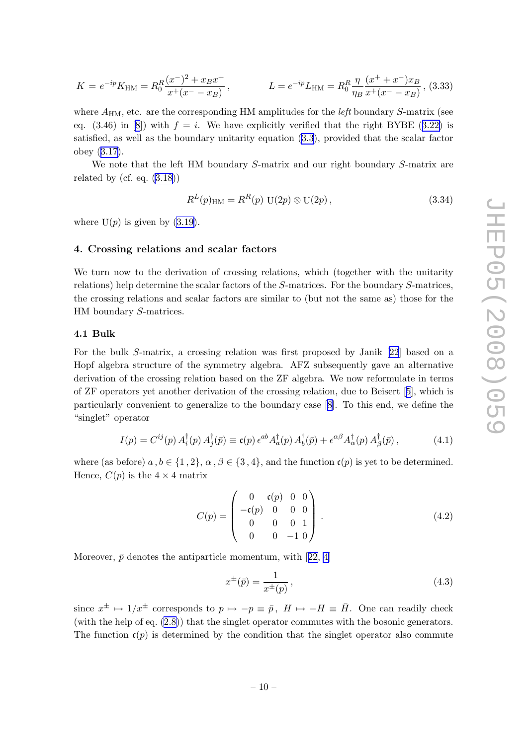<span id="page-10-0"></span>
$$
K = e^{-ip} K_{\rm HM} = R_0^R \frac{(x^-)^2 + x_B x^+}{x^+(x^- - x_B)}, \qquad L = e^{-ip} L_{\rm HM} = R_0^R \frac{\eta}{\eta_B} \frac{(x^+ + x^-) x_B}{x^+(x^- - x_B)},
$$
(3.33)

where  $A_{\text{HM}}$ , etc. are the corresponding HM amplitudes for the *left* boundary S-matrix (see eq.(3.46) in [[8](#page-18-0)]) with  $f = i$ . We have explicitly verified that the right BYBE ([3.22\)](#page-8-0) is satisfied, as well as the boundary unitarity equation [\(3.3](#page-5-0)), provided that the scalar factor obey([3.17\)](#page-7-0).

We note that the left HM boundary S-matrix and our right boundary S-matrix are related by (cf. eq.  $(3.18)$ )

$$
R^{L}(p)_{\text{HM}} = R^{R}(p) U(2p) \otimes U(2p), \qquad (3.34)
$$

where  $U(p)$  is given by  $(3.19)$ .

#### 4. Crossing relations and scalar factors

We turn now to the derivation of crossing relations, which (together with the unitarity relations) help determine the scalar factors of the S-matrices. For the boundary S-matrices, the crossing relations and scalar factors are similar to (but not the same as) those for the HM boundary S-matrices.

#### 4.1 Bulk

For the bulk S-matrix, a crossing relation was first proposed by Janik[[22](#page-19-0)] based on a Hopf algebra structure of the symmetry algebra. AFZ subsequently gave an alternative derivation of the crossing relation based on the ZF algebra. We now reformulate in terms of ZF operators yet another derivation of the crossing relation, due to Beisert[[5\]](#page-18-0), which is particularly convenient to generalize to the boundary case [[8](#page-18-0)]. To this end, we define the "singlet" operator

$$
I(p) = C^{ij}(p) A_i^{\dagger}(p) A_j^{\dagger}(\bar{p}) \equiv \mathfrak{c}(p) \epsilon^{ab} A_a^{\dagger}(p) A_b^{\dagger}(\bar{p}) + \epsilon^{\alpha \beta} A_\alpha^{\dagger}(p) A_\beta^{\dagger}(\bar{p}), \tag{4.1}
$$

where (as before)  $a, b \in \{1, 2\}, \alpha, \beta \in \{3, 4\},$  and the function  $c(p)$  is yet to be determined. Hence,  $C(p)$  is the  $4 \times 4$  matrix

$$
C(p) = \begin{pmatrix} 0 & \mathfrak{c}(p) & 0 & 0 \\ -\mathfrak{c}(p) & 0 & 0 & 0 \\ 0 & 0 & 0 & 1 \\ 0 & 0 & -1 & 0 \end{pmatrix} . \tag{4.2}
$$

Moreover, $\bar{p}$  denotes the antiparticle momentum, with [[22,](#page-19-0) [4\]](#page-18-0)

$$
x^{\pm}(\bar{p}) = \frac{1}{x^{\pm}(p)},
$$
\n(4.3)

since  $x^{\pm} \mapsto 1/x^{\pm}$  corresponds to  $p \mapsto -p \equiv \bar{p}$ ,  $H \mapsto -H \equiv \bar{H}$ . One can readily check (with the help of eq. [\(2.8\)](#page-3-0)) that the singlet operator commutes with the bosonic generators. The function  $\mathfrak{c}(p)$  is determined by the condition that the singlet operator also commute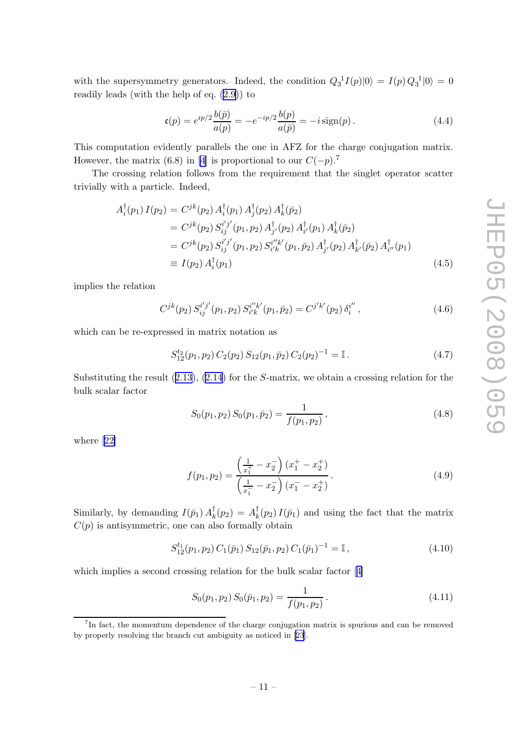<span id="page-11-0"></span>with the supersymmetry generators. Indeed, the condition  $Q_3^{\{1\}}I(p)|0\rangle = I(p)Q_3^{\{1\}}|0\rangle = 0$ readily leads (with the help of eq. [\(2.9\)](#page-3-0)) to

$$
\mathfrak{c}(p) = e^{ip/2} \frac{b(\bar{p})}{a(p)} = -e^{-ip/2} \frac{b(p)}{a(\bar{p})} = -i \operatorname{sign}(p).
$$
 (4.4)

This computation evidently parallels the one in AFZ for the charge conjugation matrix. However, the matrix (6.8) in [\[4\]](#page-18-0) is proportional to our  $C(-p)$ .<sup>7</sup>

The crossing relation follows from the requirement that the singlet operator scatter trivially with a particle. Indeed,

$$
A_i^{\dagger}(p_1) I(p_2) = C^{jk}(p_2) A_i^{\dagger}(p_1) A_j^{\dagger}(p_2) A_k^{\dagger}(\bar{p}_2)
$$
  
\n
$$
= C^{jk}(p_2) S_{ij}^{i'j'}(p_1, p_2) A_{j'}^{\dagger}(p_2) A_{i'}^{\dagger}(p_1) A_k^{\dagger}(\bar{p}_2)
$$
  
\n
$$
= C^{jk}(p_2) S_{ij}^{i'j'}(p_1, p_2) S_{i'k}^{i'k'}(p_1, \bar{p}_2) A_{j'}^{\dagger}(p_2) A_{k'}^{\dagger}(\bar{p}_2) A_{i''}^{\dagger}(p_1)
$$
  
\n
$$
\equiv I(p_2) A_i^{\dagger}(p_1)
$$
\n(4.5)

implies the relation

$$
C^{jk}(p_2) S_{ij}^{i'j'}(p_1, p_2) S_{i'k}^{i''k'}(p_1, \bar{p}_2) = C^{j'k'}(p_2) \delta_i^{i''}, \qquad (4.6)
$$

which can be re-expressed in matrix notation as

$$
S_{12}^{t_2}(p_1, p_2) C_2(p_2) S_{12}(p_1, \bar{p}_2) C_2(p_2)^{-1} = \mathbb{I}.
$$
 (4.7)

Substituting the result([2.13\)](#page-4-0),([2.14](#page-5-0)) for the S-matrix, we obtain a crossing relation for the bulk scalar factor

$$
S_0(p_1, p_2) S_0(p_1, \bar{p}_2) = \frac{1}{f(p_1, p_2)}, \qquad (4.8)
$$

where[[22\]](#page-19-0)

$$
f(p_1, p_2) = \frac{\left(\frac{1}{x_1^+} - x_2^-\right)(x_1^+ - x_2^+)}{\left(\frac{1}{x_1^-} - x_2^-\right)(x_1^- - x_2^+)}.
$$
\n(4.9)

Similarly, by demanding  $I(\bar{p}_1) A_k^{\dagger}$  $\frac{1}{k}(p_2) = A_k^{\dagger}$  $\frac{1}{k}(p_2) I(\bar{p}_1)$  and using the fact that the matrix  $C(p)$  is antisymmetric, one can also formally obtain

$$
S_{12}^{t_1}(p_1, p_2) C_1(\bar{p}_1) S_{12}(\bar{p}_1, p_2) C_1(\bar{p}_1)^{-1} = \mathbb{I}, \qquad (4.10)
$$

which implies a second crossing relation for the bulk scalar factor[[4](#page-18-0)]

$$
S_0(p_1, p_2) S_0(\bar{p}_1, p_2) = \frac{1}{f(p_1, p_2)}.
$$
\n(4.11)

<sup>&</sup>lt;sup>7</sup>In fact, the momentum dependence of the charge conjugation matrix is spurious and can be removed by properly resolving the branch cut ambiguity as noticed in [\[23](#page-19-0)].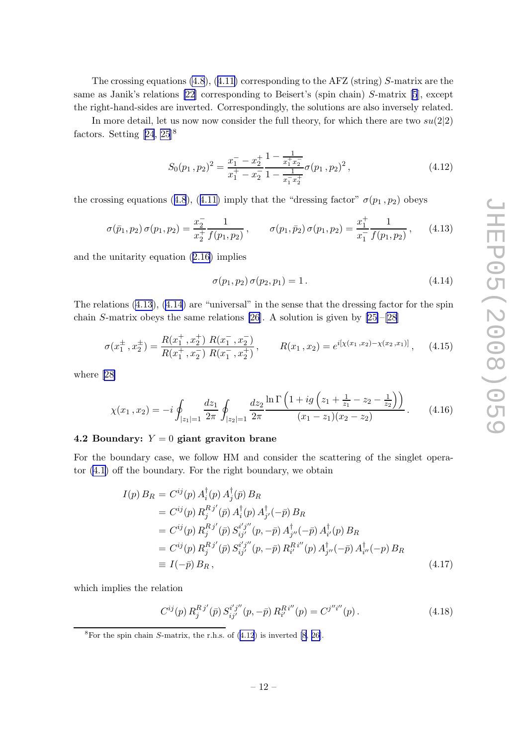<span id="page-12-0"></span>Thecrossing equations  $(4.8)$ ,  $(4.11)$  $(4.11)$  corresponding to the AFZ (string) S-matrix are the same as Janik's relations [\[22\]](#page-19-0) corresponding to Beisert's (spin chain) S-matrix[[5](#page-18-0)], except the right-hand-sides are inverted. Correspondingly, the solutions are also inversely related.

In more detail, let us now now consider the full theory, for which there are two  $su(2|2)$ factors.Setting  $[24, 25]$  $[24, 25]$  $[24, 25]$  $[24, 25]$  $[24, 25]$ <sup>8</sup>

$$
S_0(p_1, p_2)^2 = \frac{x_1^- - x_2^+}{x_1^+ - x_2^-} \frac{1 - \frac{1}{x_1^+ x_2^-}}{1 - \frac{1}{x_1^- x_2^+}} \sigma(p_1, p_2)^2, \qquad (4.12)
$$

thecrossing equations ([4.8](#page-11-0)), ([4.11\)](#page-11-0) imply that the "dressing factor"  $\sigma(p_1, p_2)$  obeys

$$
\sigma(\bar{p}_1, p_2) \sigma(p_1, p_2) = \frac{x_2^-}{x_2^+} \frac{1}{f(p_1, p_2)}, \qquad \sigma(p_1, \bar{p}_2) \sigma(p_1, p_2) = \frac{x_1^+}{x_1^-} \frac{1}{f(p_1, p_2)}, \qquad (4.13)
$$

and the unitarity equation([2.16\)](#page-5-0) implies

$$
\sigma(p_1, p_2) \sigma(p_2, p_1) = 1. \tag{4.14}
$$

The relations (4.13), (4.14) are "universal" in the sense that the dressing factor for the spin chain S-matrix obeys the same relations [\[26](#page-19-0)]. A solution is given by [[25\]](#page-19-0)–[\[28\]](#page-19-0)

$$
\sigma(x_1^{\pm}, x_2^{\pm}) = \frac{R(x_1^+, x_2^+) R(x_1^-, x_2^-)}{R(x_1^+, x_2^-) R(x_1^-, x_2^+)}, \qquad R(x_1, x_2) = e^{i[\chi(x_1, x_2) - \chi(x_2, x_1)]}, \qquad (4.15)
$$

where[[28\]](#page-19-0)

$$
\chi(x_1, x_2) = -i \oint_{|z_1|=1} \frac{dz_1}{2\pi} \oint_{|z_2|=1} \frac{dz_2}{2\pi} \frac{\ln \Gamma\left(1 + ig\left(z_1 + \frac{1}{z_1} - z_2 - \frac{1}{z_2}\right)\right)}{(x_1 - z_1)(x_2 - z_2)}.
$$
(4.16)

#### 4.2 Boundary:  $Y = 0$  giant graviton brane

For the boundary case, we follow HM and consider the scattering of the singlet operator [\(4.1\)](#page-10-0) off the boundary. For the right boundary, we obtain

$$
I(p) B_R = C^{ij}(p) A_i^{\dagger}(p) A_j^{\dagger}(\bar{p}) B_R
$$
  
\n
$$
= C^{ij}(p) R_j^{Rj'}(\bar{p}) A_i^{\dagger}(p) A_{j'}^{\dagger}(-\bar{p}) B_R
$$
  
\n
$$
= C^{ij}(p) R_j^{Rj'}(\bar{p}) S_{ij'}^{i'j''}(p, -\bar{p}) A_{j''}^{\dagger}(-\bar{p}) A_{i'}^{\dagger}(p) B_R
$$
  
\n
$$
= C^{ij}(p) R_j^{Rj'}(\bar{p}) S_{ij'}^{i'j''}(p, -\bar{p}) R_i^{Ri''}(p) A_{j''}^{\dagger}(-\bar{p}) A_{i''}^{\dagger}(-p) B_R
$$
  
\n
$$
\equiv I(-\bar{p}) B_R,
$$
\n(4.17)

which implies the relation

$$
C^{ij}(p) R_j^{Rj'}(\bar{p}) S_{ij'}^{i'j''}(p, -\bar{p}) R_{i'}^{Ri''}(p) = C^{j''i''}(p).
$$
 (4.18)

 ${}^{8}$ For the spin chain S-matrix, the r.h.s. of  $(4.12)$  is inverted [\[8,](#page-18-0) [26\]](#page-19-0).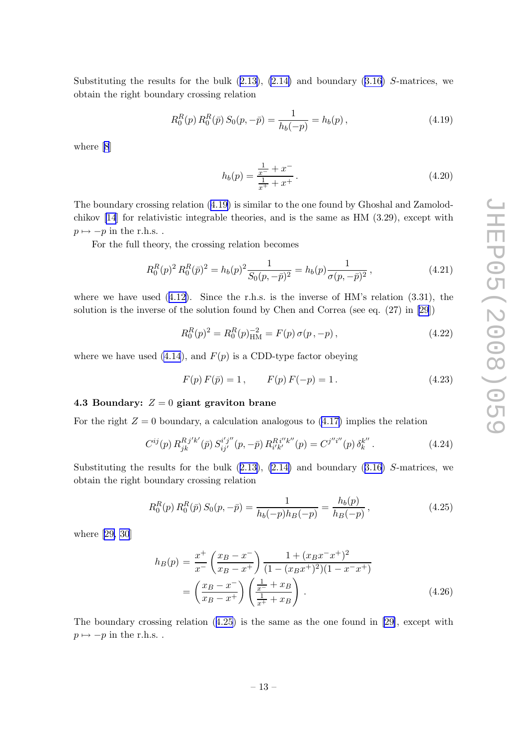<span id="page-13-0"></span>Substitutingthe results for the bulk  $(2.13)$  $(2.13)$ ,  $(2.14)$  and boundary  $(3.16)$  $(3.16)$  $(3.16)$  S-matrices, we obtain the right boundary crossing relation

$$
R_0^R(p) R_0^R(\bar{p}) S_0(p, -\bar{p}) = \frac{1}{h_b(-p)} = h_b(p), \qquad (4.19)
$$

where[[8](#page-18-0)]

$$
h_b(p) = \frac{\frac{1}{x^-} + x^-}{\frac{1}{x^+} + x^+}.
$$
\n(4.20)

The boundary crossing relation (4.19) is similar to the one found by Ghoshal and Zamolodchikov [\[14](#page-18-0)] for relativistic integrable theories, and is the same as HM (3.29), except with  $p \mapsto -p$  in the r.h.s..

For the full theory, the crossing relation becomes

$$
R_0^R(p)^2 R_0^R(\bar{p})^2 = h_b(p)^2 \frac{1}{S_0(p, -\bar{p})^2} = h_b(p) \frac{1}{\sigma(p, -\bar{p})^2},
$$
\n(4.21)

wherewe have used  $(4.12)$  $(4.12)$ . Since the r.h.s. is the inverse of HM's relation  $(3.31)$ , the solution is the inverse of the solution found by Chen and Correa (see eq. (27) in [\[29](#page-19-0)])

$$
R_0^R(p)^2 = R_0^R(p)_{\text{HM}}^{-2} = F(p) \sigma(p, -p), \qquad (4.22)
$$

where we have used [\(4.14](#page-12-0)), and  $F(p)$  is a CDD-type factor obeying

$$
F(p) F(\bar{p}) = 1, \qquad F(p) F(-p) = 1.
$$
\n(4.23)

# 4.3 Boundary:  $Z = 0$  giant graviton brane

For the right  $Z = 0$  boundary, a calculation analogous to  $(4.17)$  implies the relation

$$
C^{ij}(p) R_{jk}^{Rj'k'}(\bar{p}) S_{ij'}^{i'j''}(p, -\bar{p}) R_{i'k'}^{Ri''k''}(p) = C^{j''i''}(p) \delta_k^{k''}.
$$
 (4.24)

Substitutingthe results for the bulk  $(2.13)$  $(2.13)$ ,  $(2.14)$  and boundary  $(3.16)$  $(3.16)$  $(3.16)$  S-matrices, we obtain the right boundary crossing relation

$$
R_0^R(p) R_0^R(\bar{p}) S_0(p, -\bar{p}) = \frac{1}{h_b(-p)h_B(-p)} = \frac{h_b(p)}{h_B(-p)},
$$
\n(4.25)

where[[29, 30](#page-19-0)]

$$
h_B(p) = \frac{x^+}{x^-} \left(\frac{x_B - x^-}{x_B - x^+}\right) \frac{1 + (x_B x^- x^+)^2}{(1 - (x_B x^+)^2)(1 - x^- x^+)} = \left(\frac{x_B - x^-}{x_B - x^+}\right) \left(\frac{\frac{1}{x^-} + x_B}{\frac{1}{x^+} + x_B}\right).
$$
(4.26)

The boundary crossing relation (4.25) is the same as the one found in [\[29\]](#page-19-0), except with  $p \mapsto -p$  in the r.h.s..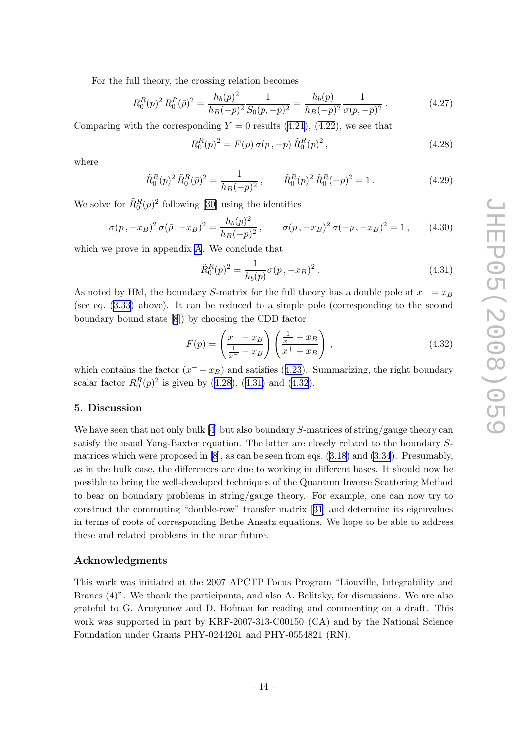<span id="page-14-0"></span>For the full theory, the crossing relation becomes

$$
R_0^R(p)^2 R_0^R(\bar{p})^2 = \frac{h_b(p)^2}{h_B(-p)^2} \frac{1}{S_0(p, -\bar{p})^2} = \frac{h_b(p)}{h_B(-p)^2} \frac{1}{\sigma(p, -\bar{p})^2}.
$$
 (4.27)

Comparingwith the corresponding  $Y = 0$  results ([4.21](#page-13-0)), [\(4.22](#page-13-0)), we see that

$$
R_0^R(p)^2 = F(p) \,\sigma(p, -p) \,\tilde{R}_0^R(p)^2 \,, \tag{4.28}
$$

where

$$
\tilde{R}_0^R(p)^2 \tilde{R}_0^R(\bar{p})^2 = \frac{1}{h_B(-p)^2}, \qquad \tilde{R}_0^R(p)^2 \tilde{R}_0^R(-p)^2 = 1.
$$
\n(4.29)

We solve for  $\tilde{R}_0^R(p)^2$  following [\[30](#page-19-0)] using the identities

$$
\sigma(p, -x_B)^2 \sigma(\bar{p}, -x_B)^2 = \frac{h_b(p)^2}{h_B(-p)^2}, \qquad \sigma(p, -x_B)^2 \sigma(-p, -x_B)^2 = 1, \qquad (4.30)
$$

which we prove in appendix [A](#page-15-0). We conclude that

$$
\tilde{R}_0^R(p)^2 = \frac{1}{h_b(p)} \sigma(p, -x_B)^2.
$$
\n(4.31)

As noted by HM, the boundary S-matrix for the full theory has a double pole at  $x^{-} = x_B$ (see eq. [\(3.33](#page-10-0)) above). It can be reduced to a simple pole (corresponding to the second boundary bound state[[8](#page-18-0)]) by choosing the CDD factor

$$
F(p) = \left(\frac{x^{-} - x_{B}}{\frac{1}{x^{-}} - x_{B}}\right) \left(\frac{\frac{1}{x^{+}} + x_{B}}{x^{+} + x_{B}}\right),
$$
\n(4.32)

whichcontains the factor  $(x^{-} - x_B)$  and satisfies ([4.23\)](#page-13-0). Summarizing, the right boundary scalar factor  $R_0^R(p)^2$  is given by (4.28), (4.31) and (4.32).

#### 5. Discussion

We have seen that not only bulk [\[4](#page-18-0)] but also boundary S-matrices of string/gauge theory can satisfy the usual Yang-Baxter equation. The latter are closely related to the boundary Smatrices which were proposed in [\[8\]](#page-18-0), as can be seen from eqs.([3.18\)](#page-7-0) and [\(3.34](#page-10-0)). Presumably, as in the bulk case, the differences are due to working in different bases. It should now be possible to bring the well-developed techniques of the Quantum Inverse Scattering Method to bear on boundary problems in string/gauge theory. For example, one can now try to construct the commuting "double-row" transfer matrix[[31](#page-19-0)] and determine its eigenvalues in terms of roots of corresponding Bethe Ansatz equations. We hope to be able to address these and related problems in the near future.

#### Acknowledgments

This work was initiated at the 2007 APCTP Focus Program "Liouville, Integrability and Branes (4)". We thank the participants, and also A. Belitsky, for discussions. We are also grateful to G. Arutyunov and D. Hofman for reading and commenting on a draft. This work was supported in part by KRF-2007-313-C00150 (CA) and by the National Science Foundation under Grants PHY-0244261 and PHY-0554821 (RN).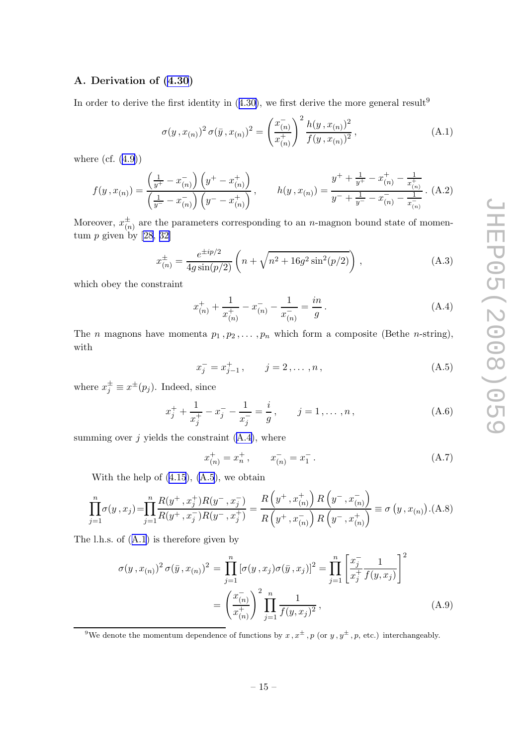# <span id="page-15-0"></span>A. Derivation of [\(4.30](#page-14-0))

Inorder to derive the first identity in  $(4.30)$  $(4.30)$ , we first derive the more general result<sup>9</sup>

$$
\sigma(y, x_{(n)})^2 \sigma(\bar{y}, x_{(n)})^2 = \left(\frac{x_{(n)}^+}{x_{(n)}^+}\right)^2 \frac{h(y, x_{(n)})^2}{f(y, x_{(n)})^2},
$$
\n(A.1)

where  $(cf. (4.9))$  $(cf. (4.9))$  $(cf. (4.9))$ 

$$
f(y, x_{(n)}) = \frac{\left(\frac{1}{y^{+}} - x_{(n)}^{-}\right)\left(y^{+} - x_{(n)}^{+}\right)}{\left(\frac{1}{y^{-}} - x_{(n)}^{-}\right)\left(y^{-} - x_{(n)}^{+}\right)}, \qquad h(y, x_{(n)}) = \frac{y^{+} + \frac{1}{y^{+}} - x_{(n)}^{+} - \frac{1}{x_{(n)}^{+}}}{y^{-} + \frac{1}{y^{-}} - x_{(n)}^{-} - \frac{1}{x_{(n)}^{-}}}. \tag{A.2}
$$

Moreover,  $x_{\alpha}^{\pm}$  $\zeta_{(n)}^{\pm}$  are the parameters corresponding to an *n*-magnon bound state of momentum  $p$  given by [\[28, 32\]](#page-19-0)

$$
x_{(n)}^{\pm} = \frac{e^{\pm ip/2}}{4g\sin(p/2)} \left( n + \sqrt{n^2 + 16g^2\sin^2(p/2)} \right), \tag{A.3}
$$

which obey the constraint

$$
x_{(n)}^{+} + \frac{1}{x_{(n)}^{+}} - x_{(n)}^{-} - \frac{1}{x_{(n)}^{-}} = \frac{in}{g}.
$$
 (A.4)

The *n* magnons have momenta  $p_1, p_2, \ldots, p_n$  which form a composite (Bethe *n*-string), with

$$
x_j^- = x_{j-1}^+, \qquad j = 2, \dots, n, \tag{A.5}
$$

where  $x_j^{\pm} \equiv x^{\pm}(p_j)$ . Indeed, since

$$
x_j^+ + \frac{1}{x_j^+} - x_j^- - \frac{1}{x_j^-} = \frac{i}{g}, \qquad j = 1, \dots, n,
$$
 (A.6)

summing over  $j$  yields the constraint  $(A.4)$ , where

$$
x_{(n)}^{+} = x_{n}^{+}, \qquad x_{(n)}^{-} = x_{1}^{-}. \tag{A.7}
$$

Withthe help of  $(4.15)$  $(4.15)$  $(4.15)$ ,  $(A.5)$ , we obtain

$$
\prod_{j=1}^{n} \sigma(y, x_j) = \prod_{j=1}^{n} \frac{R(y^+, x_j^+) R(y^-, x_j^-)}{R(y^+, x_j^-) R(y^-, x_j^+)} = \frac{R(y^+, x_{(n)}^+) R(y^-, x_{(n)}^-)}{R(y^+, x_{(n)}^-) R(y^-, x_{(n)}^+)} \equiv \sigma(y, x_{(n)}) \cdot (A.8)
$$

The l.h.s. of (A.1) is therefore given by

$$
\sigma(y, x_{(n)})^2 \sigma(\bar{y}, x_{(n)})^2 = \prod_{j=1}^n [\sigma(y, x_j) \sigma(\bar{y}, x_j)]^2 = \prod_{j=1}^n \left[ \frac{x_j^-}{x_j^+} \frac{1}{f(y, x_j)} \right]^2
$$

$$
= \left( \frac{x_{(n)}^-}{x_{(n)}^+} \right)^2 \prod_{j=1}^n \frac{1}{f(y, x_j)^2}, \tag{A.9}
$$

<sup>9</sup>We denote the momentum dependence of functions by  $x, x^{\pm}$ , p (or  $y, y^{\pm}$ , p, etc.) interchangeably.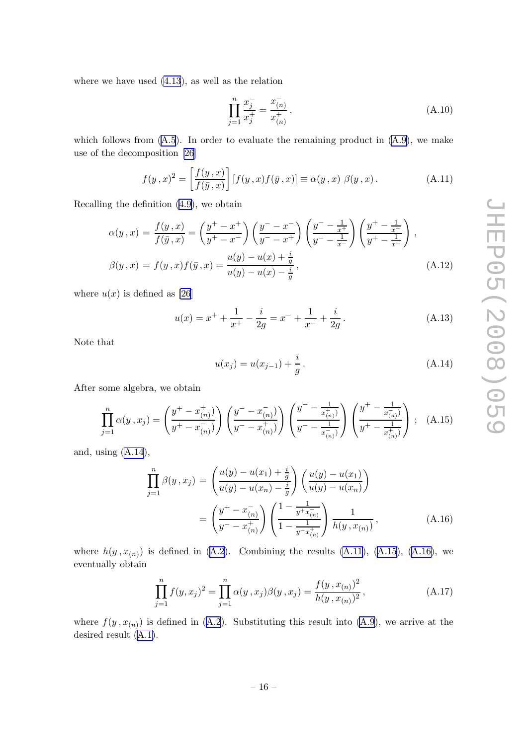where we have used [\(4.13](#page-12-0)), as well as the relation

$$
\prod_{j=1}^{n} \frac{x_j^-}{x_j^+} = \frac{x_{(n)}^-}{x_{(n)}^+},
$$
\n(A.10)

whichfollows from  $(A.5)$  $(A.5)$  $(A.5)$ . In order to evaluate the remaining product in  $(A.9)$ , we make use of the decomposition [\[26](#page-19-0)]

$$
f(y,x)^{2} = \left[\frac{f(y,x)}{f(\bar{y},x)}\right][f(y,x)f(\bar{y},x)] \equiv \alpha(y,x) \beta(y,x).
$$
 (A.11)

Recalling the definition [\(4.9](#page-11-0)), we obtain

$$
\alpha(y,x) = \frac{f(y,x)}{f(\bar{y},x)} = \left(\frac{y^+ - x^+}{y^+ - x^-}\right) \left(\frac{y^- - x^-}{y^- - x^+}\right) \left(\frac{y^- - \frac{1}{x^+}}{y^- - \frac{1}{x^-}}\right) \left(\frac{y^+ - \frac{1}{x^-}}{y^+ - \frac{1}{x^+}}\right),
$$
  

$$
\beta(y,x) = f(y,x)f(\bar{y},x) = \frac{u(y) - u(x) + \frac{i}{g}}{u(y) - u(x) - \frac{i}{g}},
$$
(A.12)

where  $u(x)$  is defined as [\[26](#page-19-0)]

$$
u(x) = x^{+} + \frac{1}{x^{+}} - \frac{i}{2g} = x^{-} + \frac{1}{x^{-}} + \frac{i}{2g}.
$$
 (A.13)

Note that

$$
u(x_j) = u(x_{j-1}) + \frac{i}{g}.
$$
\n(A.14)

After some algebra, we obtain

$$
\prod_{j=1}^{n} \alpha(y, x_j) = \left(\frac{y^+ - x_{(n)}^+}{y^+ - x_{(n)}^-}\right) \left(\frac{y^- - x_{(n)}^-}{y^- - x_{(n)}^+}\right) \left(\frac{y^- - \frac{1}{x_{(n)}^+}}{y^- - \frac{1}{x_{(n)}^-}}\right) \left(\frac{y^+ - \frac{1}{x_{(n)}^-}}{y^+ - \frac{1}{x_{(n)}^+}}\right) ; \quad (A.15)
$$

and, using (A.14),

$$
\prod_{j=1}^{n} \beta(y, x_j) = \left(\frac{u(y) - u(x_1) + \frac{i}{g}}{u(y) - u(x_n) - \frac{i}{g}}\right) \left(\frac{u(y) - u(x_1)}{u(y) - u(x_n)}\right)
$$
\n
$$
= \left(\frac{y^+ - x_{(n)}^-}{y^- - x_{(n)}^+}\right) \left(\frac{1 - \frac{1}{y^+ x_{(n)}^-}}{1 - \frac{1}{y^- x_{(n)}^+}}\right) \frac{1}{h(y, x_{(n)})},
$$
\n(A.16)

where $h(y, x_{(n)})$  is defined in ([A.2](#page-15-0)). Combining the results (A.11), (A.15), (A.16), we eventually obtain

$$
\prod_{j=1}^{n} f(y, x_j)^2 = \prod_{j=1}^{n} \alpha(y, x_j) \beta(y, x_j) = \frac{f(y, x_{(n)})^2}{h(y, x_{(n)})^2},
$$
\n(A.17)

where $f(y, x_{(n)})$  is defined in ([A.2](#page-15-0)). Substituting this result into [\(A.9\)](#page-15-0), we arrive at the desired result [\(A.1\)](#page-15-0).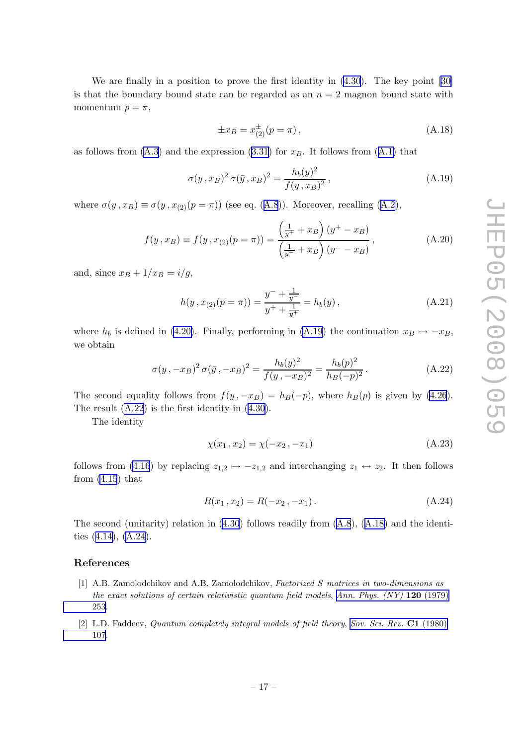<span id="page-17-0"></span>We are finally in a position to prove the first identity in [\(4.30](#page-14-0)). The key point [\[30\]](#page-19-0) is that the boundary bound state can be regarded as an  $n = 2$  magnon bound state with momentum  $p = \pi$ ,

$$
\pm x_B = x_{(2)}^{\pm} (p = \pi), \tag{A.18}
$$

asfollows from  $(A.3)$  and the expression  $(3.31)$  $(3.31)$  $(3.31)$  for  $x_B$ . It follows from  $(A.1)$  that

$$
\sigma(y, x_B)^2 \sigma(\bar{y}, x_B)^2 = \frac{h_b(y)^2}{f(y, x_B)^2},
$$
\n(A.19)

where $\sigma(y, x_B) \equiv \sigma(y, x_{(2)}(p = \pi))$  (see eq. ([A.8](#page-15-0))). Moreover, recalling ([A.2](#page-15-0)),

$$
f(y, x_B) \equiv f(y, x_{(2)}(p = \pi)) = \frac{\left(\frac{1}{y^+} + x_B\right)(y^+ - x_B)}{\left(\frac{1}{y^-} + x_B\right)(y^- - x_B)},
$$
\n(A.20)

and, since  $x_B + 1/x_B = i/g$ ,

$$
h(y, x_{(2)}(p = \pi)) = \frac{y^- + \frac{1}{y^-}}{y^+ + \frac{1}{y^+}} = h_b(y),
$$
\n(A.21)

where  $h_b$  is defined in [\(4.20\)](#page-13-0). Finally, performing in (A.19) the continuation  $x_B \mapsto -x_B$ , we obtain

$$
\sigma(y, -x_B)^2 \sigma(\bar{y}, -x_B)^2 = \frac{h_b(y)^2}{f(y, -x_B)^2} = \frac{h_b(p)^2}{h_B(-p)^2}.
$$
 (A.22)

The second equality follows from  $f(y, -x_B) = h_B(-p)$ , where  $h_B(p)$  is given by [\(4.26](#page-13-0)). The result (A.22) is the first identity in [\(4.30](#page-14-0)).

The identity

$$
\chi(x_1, x_2) = \chi(-x_2, -x_1) \tag{A.23}
$$

follows from [\(4.16](#page-12-0)) by replacing  $z_{1,2} \mapsto -z_{1,2}$  and interchanging  $z_1 \leftrightarrow z_2$ . It then follows from  $(4.15)$  that

$$
R(x_1, x_2) = R(-x_2, -x_1). \tag{A.24}
$$

Thesecond (unitarity) relation in  $(4.30)$  follows readily from  $(A.8)$  $(A.8)$  $(A.8)$ ,  $(A.18)$  and the identities([4.14\)](#page-12-0), (A.24).

#### References

- [1] A.B. Zamolodchikov and A.B. Zamolodchikov, Factorized S matrices in two-dimensions as the exact solutions of certain relativistic quantum field models, [Ann. Phys. \(NY\)](http://www-spires.slac.stanford.edu/spires/find/hep/www?j=APNYA%2C120%2C253) 120 (1979) [253](http://www-spires.slac.stanford.edu/spires/find/hep/www?j=APNYA%2C120%2C253).
- [2] L.D. Faddeev, Quantum completely integral models of field theory, [Sov. Sci. Rev.](http://www-spires.slac.stanford.edu/spires/find/hep/www?j=SSRWA%2CC1%2C107) C1 (1980) [107](http://www-spires.slac.stanford.edu/spires/find/hep/www?j=SSRWA%2CC1%2C107).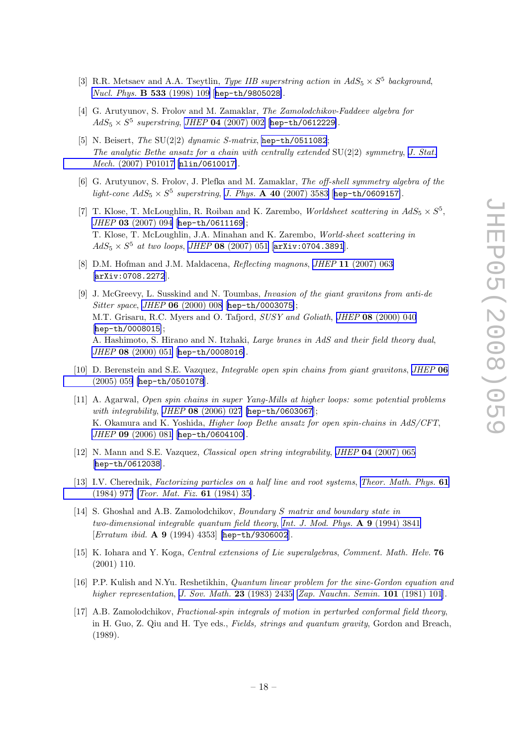- <span id="page-18-0"></span>[3] R.R. Metsaev and A.A. Tseytlin, *Type IIB superstring action in*  $AdS_5 \times S^5$  *background*, [Nucl. Phys.](http://www-spires.slac.stanford.edu/spires/find/hep/www?j=NUPHA%2CB533%2C109) B 533 (1998) 109 [[hep-th/9805028](http://arxiv.org/abs/hep-th/9805028)].
- [4] G. Arutyunov, S. Frolov and M. Zamaklar, The Zamolodchikov-Faddeev algebra for  $AdS_5 \times S^5$  superstring, JHEP 04 [\(2007\) 002](http://jhep.sissa.it/stdsearch?paper=04%282007%29002) [[hep-th/0612229](http://arxiv.org/abs/hep-th/0612229)].
- [5] N. Beisert, The SU(2|2) dynamic S-matrix, [hep-th/0511082](http://arxiv.org/abs/hep-th/0511082); The analytic Bethe ansatz for a chain with centrally extended  $SU(2|2)$  symmetry, [J. Stat.](http://www-spires.slac.stanford.edu/spires/find/hep/www?j=JSTAT%2C0701%2CP017) Mech. [\(2007\) P01017](http://www-spires.slac.stanford.edu/spires/find/hep/www?j=JSTAT%2C0701%2CP017) [[nlin/0610017](http://arxiv.org/abs/nlin/0610017)].
- [6] G. Arutyunov, S. Frolov, J. Plefka and M. Zamaklar, The off-shell symmetry algebra of the light-cone  $AdS_5 \times S^5$  superstring, J. Phys. **A 40** [\(2007\) 3583](http://www-spires.slac.stanford.edu/spires/find/hep/www?j=JPAGB%2CA40%2C3583) [[hep-th/0609157](http://arxiv.org/abs/hep-th/0609157)].
- [7] T. Klose, T. McLoughlin, R. Roiban and K. Zarembo, Worldsheet scattering in  $AdS_5 \times S^5$ , JHEP 03 [\(2007\) 094](http://jhep.sissa.it/stdsearch?paper=03%282007%29094) [[hep-th/0611169](http://arxiv.org/abs/hep-th/0611169)]; T. Klose, T. McLoughlin, J.A. Minahan and K. Zarembo, World-sheet scattering in  $AdS_5 \times S^5$  at two loops, JHEP 08 [\(2007\) 051](http://jhep.sissa.it/stdsearch?paper=08%282007%29051) [[arXiv:0704.3891](http://arxiv.org/abs/0704.3891)].
- [8] D.M. Hofman and J.M. Maldacena, Reflecting magnons, JHEP 11 [\(2007\) 063](http://jhep.sissa.it/stdsearch?paper=11%282007%29063) [[arXiv:0708.2272](http://arxiv.org/abs/0708.2272)].
- [9] J. McGreevy, L. Susskind and N. Toumbas, Invasion of the giant gravitons from anti-de Sitter space, JHEP 06 [\(2000\) 008](http://jhep.sissa.it/stdsearch?paper=06%282000%29008) [[hep-th/0003075](http://arxiv.org/abs/hep-th/0003075)]; M.T. Grisaru, R.C. Myers and O. Tafjord, SUSY and Goliath, JHEP 08 [\(2000\) 040](http://jhep.sissa.it/stdsearch?paper=08%282000%29040) [[hep-th/0008015](http://arxiv.org/abs/hep-th/0008015)]; A. Hashimoto, S. Hirano and N. Itzhaki, Large branes in AdS and their field theory dual, JHEP 08 [\(2000\) 051](http://jhep.sissa.it/stdsearch?paper=08%282000%29051) [[hep-th/0008016](http://arxiv.org/abs/hep-th/0008016)].
- [10] D. Berenstein and S.E. Vazquez, Integrable open spin chains from giant gravitons, [JHEP](http://jhep.sissa.it/stdsearch?paper=06%282005%29059) 06 [\(2005\) 059](http://jhep.sissa.it/stdsearch?paper=06%282005%29059) [[hep-th/0501078](http://arxiv.org/abs/hep-th/0501078)].
- [11] A. Agarwal, Open spin chains in super Yang-Mills at higher loops: some potential problems with integrability, JHEP 08 [\(2006\) 027](http://jhep.sissa.it/stdsearch?paper=08%282006%29027) [[hep-th/0603067](http://arxiv.org/abs/hep-th/0603067)]; K. Okamura and K. Yoshida, Higher loop Bethe ansatz for open spin-chains in AdS/CFT, JHEP 09 [\(2006\) 081](http://jhep.sissa.it/stdsearch?paper=09%282006%29081) [[hep-th/0604100](http://arxiv.org/abs/hep-th/0604100)].
- [12] N. Mann and S.E. Vazquez, Classical open string integrability, JHEP 04 [\(2007\) 065](http://jhep.sissa.it/stdsearch?paper=04%282007%29065) [[hep-th/0612038](http://arxiv.org/abs/hep-th/0612038)].
- [13] I.V. Cherednik, Factorizing particles on a half line and root systems, [Theor. Math. Phys.](http://www-spires.slac.stanford.edu/spires/find/hep/www?j=TMPHA%2C61%2C977) 61 [\(1984\) 977](http://www-spires.slac.stanford.edu/spires/find/hep/www?j=TMPHA%2C61%2C977) [[Teor. Mat. Fiz.](http://www-spires.slac.stanford.edu/spires/find/hep/www?j=TMFZA%2C61%2C35) 61 (1984) 35].
- [14] S. Ghoshal and A.B. Zamolodchikov, Boundary S matrix and boundary state in two-dimensional integrable quantum field theory, [Int. J. Mod. Phys.](http://www-spires.slac.stanford.edu/spires/find/hep/www?j=IMPAE%2CA9%2C3841) A 9 (1994) 3841 [*Erratum ibid.* **A 9** (1994) 4353] [[hep-th/9306002](http://arxiv.org/abs/hep-th/9306002)].
- [15] K. Iohara and Y. Koga, Central extensions of Lie superalgebras, Comment. Math. Helv. 76 (2001) 110.
- [16] P.P. Kulish and N.Yu. Reshetikhin, Quantum linear problem for the sine-Gordon equation and higher representation, [J. Sov. Math.](http://www-spires.slac.stanford.edu/spires/find/hep/www?j=JOSMA%2C23%2C2435) **23** (1983) 2435 [[Zap. Nauchn. Semin.](http://www-spires.slac.stanford.edu/spires/find/hep/www?j=ZNSLA%2C101%2C101) **101** (1981) 101].
- [17] A.B. Zamolodchikov, Fractional-spin integrals of motion in perturbed conformal field theory, in H. Guo, Z. Qiu and H. Tye eds., Fields, strings and quantum gravity, Gordon and Breach, (1989).